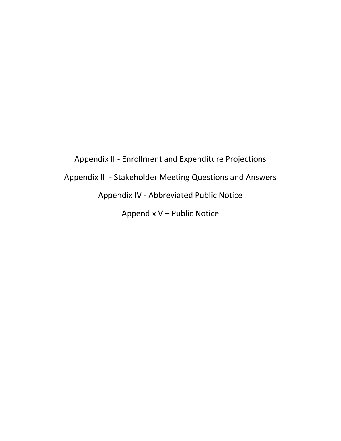Appendix II - Enrollment and Expenditure Projections Appendix III - Stakeholder Meeting Questions and Answers Appendix IV - Abbreviated Public Notice Appendix V – Public Notice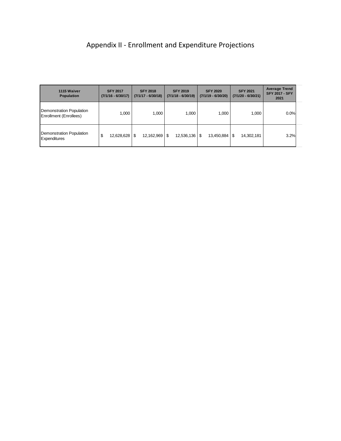# Appendix II - Enrollment and Expenditure Projections

| 1115 Waiver<br><b>Population</b>                          | <b>SFY 2017</b><br>$(7/1/16 - 6/30/17)$ | <b>SFY 2018</b><br>$(7/1/17 - 6/30/18)$ | <b>SFY 2019</b><br>$(7/1/18 - 6/30/19)$ | <b>SFY 2020</b><br>$(7/1/19 - 6/30/20)$ | <b>SFY 2021</b><br>$(7/1/20 - 6/30/21)$ | <b>Average Trend</b><br><b>SFY 2017 - SFY</b><br>2021 |
|-----------------------------------------------------------|-----------------------------------------|-----------------------------------------|-----------------------------------------|-----------------------------------------|-----------------------------------------|-------------------------------------------------------|
| <b>Demonstration Population</b><br>Enrollment (Enrollees) | 1.000                                   | 1.000                                   | 1,000                                   | 1.000                                   | 1,000                                   | 0.0%                                                  |
| <b>Demonstration Population</b><br><b>Expenditures</b>    | \$<br>12,628,628                        | \$<br>$12,162,969$   \$                 | $12,536,136$   \$                       | 13,450,884                              | 14,302,181<br>S                         | 3.2%                                                  |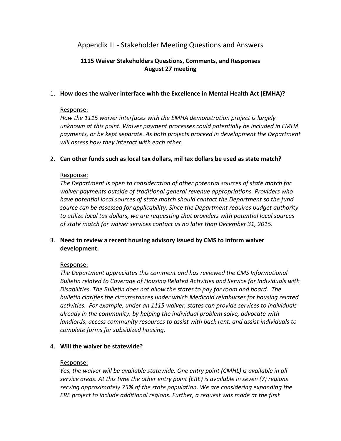## Appendix III - Stakeholder Meeting Questions and Answers

## **1115 Waiver Stakeholders Questions, Comments, and Responses August 27 meeting**

## 1. **How does the waiver interface with the Excellence in Mental Health Act (EMHA)?**

## Response:

*How the 1115 waiver interfaces with the EMHA demonstration project is largely unknown at this point. Waiver payment processes could potentially be included in EMHA payments, or be kept separate. As both projects proceed in development the Department will assess how they interact with each other.* 

## 2. **Can other funds such as local tax dollars, mil tax dollars be used as state match?**

## Response:

*The Department is open to consideration of other potential sources of state match for waiver payments outside of traditional general revenue appropriations. Providers who have potential local sources of state match should contact the Department so the fund source can be assessed for applicability. Since the Department requires budget authority to utilize local tax dollars, we are requesting that providers with potential local sources of state match for waiver services contact us no later than December 31, 2015.* 

## 3. **Need to review a recent housing advisory issued by CMS to inform waiver development.**

## Response:

*The Department appreciates this comment and has reviewed the CMS Informational Bulletin related to Coverage of Housing Related Activities and Service for Individuals with Disabilities. The Bulletin does not allow the states to pay for room and board. The bulletin clarifies the circumstances under which Medicaid reimburses for housing related activities. For example, under an 1115 waiver, states can provide services to individuals already in the community, by helping the individual problem solve, advocate with landlords, access community resources to assist with back rent, and assist individuals to complete forms for subsidized housing.* 

## 4. **Will the waiver be statewide?**

## Response:

*Yes, the waiver will be available statewide. One entry point (CMHL) is available in all service areas. At this time the other entry point (ERE) is available in seven (7) regions serving approximately 75% of the state population. We are considering expanding the ERE project to include additional regions. Further, a request was made at the first*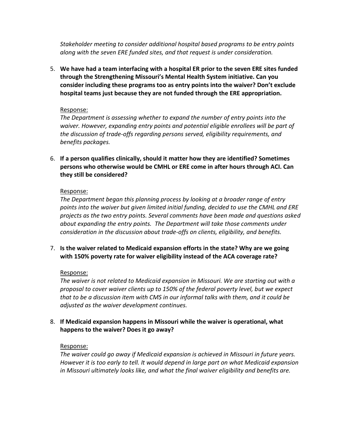*Stakeholder meeting to consider additional hospital based programs to be entry points along with the seven ERE funded sites, and that request is under consideration.* 

5. **We have had a team interfacing with a hospital ER prior to the seven ERE sites funded through the Strengthening Missouri's Mental Health System initiative. Can you consider including these programs too as entry points into the waiver? Don't exclude hospital teams just because they are not funded through the ERE appropriation.** 

## Response:

*The Department is assessing whether to expand the number of entry points into the waiver. However, expanding entry points and potential eligible enrollees will be part of the discussion of trade-offs regarding persons served, eligibility requirements, and benefits packages.* 

6. **If a person qualifies clinically, should it matter how they are identified? Sometimes persons who otherwise would be CMHL or ERE come in after hours through ACI. Can they still be considered?** 

## Response:

*The Department began this planning process by looking at a broader range of entry points into the waiver but given limited initial funding, decided to use the CMHL and ERE projects as the two entry points. Several comments have been made and questions asked about expanding the entry points. The Department will take those comments under consideration in the discussion about trade-offs on clients, eligibility, and benefits.* 

7. **Is the waiver related to Medicaid expansion efforts in the state? Why are we going with 150% poverty rate for waiver eligibility instead of the ACA coverage rate?** 

## Response:

*The waiver is not related to Medicaid expansion in Missouri. We are starting out with a proposal to cover waiver clients up to 150% of the federal poverty level, but we expect that to be a discussion item with CMS in our informal talks with them, and it could be adjusted as the waiver development continues.* 

8. **If Medicaid expansion happens in Missouri while the waiver is operational, what happens to the waiver? Does it go away?**

## Response:

*The waiver could go away if Medicaid expansion is achieved in Missouri in future years. However it is too early to tell. It would depend in large part on what Medicaid expansion in Missouri ultimately looks like, and what the final waiver eligibility and benefits are.*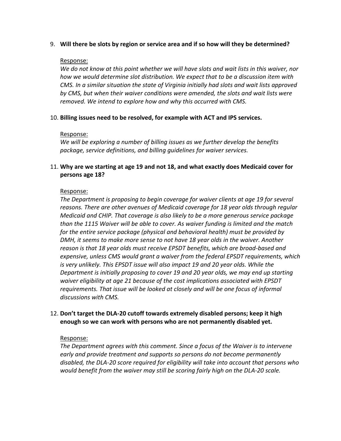## 9. **Will there be slots by region or service area and if so how will they be determined?**

## Response:

*We do not know at this point whether we will have slots and wait lists in this waiver, nor how we would determine slot distribution. We expect that to be a discussion item with CMS. In a similar situation the state of Virginia initially had slots and wait lists approved by CMS, but when their waiver conditions were amended, the slots and wait lists were removed. We intend to explore how and why this occurred with CMS.* 

## 10. **Billing issues need to be resolved, for example with ACT and IPS services.**

## Response:

*We will be exploring a number of billing issues as we further develop the benefits package, service definitions, and billing guidelines for waiver services.* 

## 11. **Why are we starting at age 19 and not 18, and what exactly does Medicaid cover for persons age 18?**

## Response:

*The Department is proposing to begin coverage for waiver clients at age 19 for several reasons. There are other avenues of Medicaid coverage for 18 year olds through regular Medicaid and CHIP. That coverage is also likely to be a more generous service package than the 1115 Waiver will be able to cover. As waiver funding is limited and the match for the entire service package (physical and behavioral health) must be provided by DMH, it seems to make more sense to not have 18 year olds in the waiver. Another reason is that 18 year olds must receive EPSDT benefits, which are broad-based and expensive, unless CMS would grant a waiver from the federal EPSDT requirements, which*  is very unlikely. This EPSDT issue will also impact 19 and 20 year olds. While the *Department is initially proposing to cover 19 and 20 year olds, we may end up starting waiver eligibility at age 21 because of the cost implications associated with EPSDT requirements. That issue will be looked at closely and will be one focus of informal discussions with CMS.* 

## 12. **Don't target the DLA-20 cutoff towards extremely disabled persons; keep it high enough so we can work with persons who are not permanently disabled yet.**

## Response:

*The Department agrees with this comment. Since a focus of the Waiver is to intervene early and provide treatment and supports so persons do not become permanently disabled, the DLA-20 score required for eligibility will take into account that persons who would benefit from the waiver may still be scoring fairly high on the DLA-20 scale.*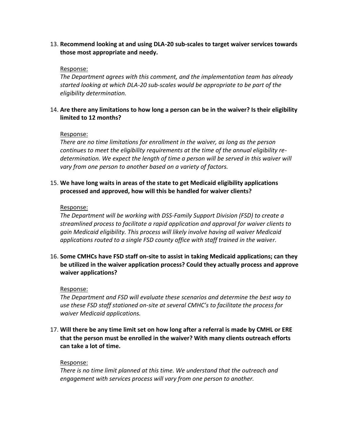13. **Recommend looking at and using DLA-20 sub-scales to target waiver services towards those most appropriate and needy.** 

## Response:

*The Department agrees with this comment, and the implementation team has already started looking at which DLA-20 sub-scales would be appropriate to be part of the eligibility determination.* 

## 14. **Are there any limitations to how long a person can be in the waiver? Is their eligibility limited to 12 months?**

## Response:

*There are no time limitations for enrollment in the waiver, as long as the person continues to meet the eligibility requirements at the time of the annual eligibility re*determination. We expect the length of time a person will be served in this waiver will *vary from one person to another based on a variety of factors.* 

## 15. **We have long waits in areas of the state to get Medicaid eligibility applications processed and approved, how will this be handled for waiver clients?**

## Response:

*The Department will be working with DSS-Family Support Division (FSD) to create a streamlined process to facilitate a rapid application and approval for waiver clients to gain Medicaid eligibility. This process will likely involve having all waiver Medicaid applications routed to a single FSD county office with staff trained in the waiver.*

16. **Some CMHCs have FSD staff on-site to assist in taking Medicaid applications; can they be utilized in the waiver application process? Could they actually process and approve waiver applications?** 

## Response:

*The Department and FSD will evaluate these scenarios and determine the best way to use these FSD staff stationed on-site at several CMHC's to facilitate the process for waiver Medicaid applications.* 

17. **Will there be any time limit set on how long after a referral is made by CMHL or ERE that the person must be enrolled in the waiver? With many clients outreach efforts can take a lot of time.** 

## Response:

*There is no time limit planned at this time. We understand that the outreach and engagement with services process will vary from one person to another.*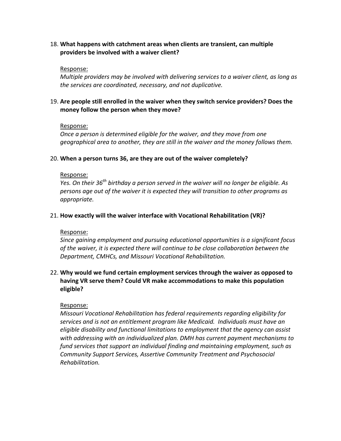18. **What happens with catchment areas when clients are transient, can multiple providers be involved with a waiver client?** 

### Response:

*Multiple providers may be involved with delivering services to a waiver client, as long as the services are coordinated, necessary, and not duplicative.* 

## 19. **Are people still enrolled in the waiver when they switch service providers? Does the money follow the person when they move?**

### Response:

*Once a person is determined eligible for the waiver, and they move from one geographical area to another, they are still in the waiver and the money follows them.* 

### 20. **When a person turns 36, are they are out of the waiver completely?**

### Response:

*Yes. On their 36th birthday a person served in the waiver will no longer be eligible. As persons age out of the waiver it is expected they will transition to other programs as appropriate.* 

## 21. **How exactly will the waiver interface with Vocational Rehabilitation (VR)?**

## Response:

*Since gaining employment and pursuing educational opportunities is a significant focus of the waiver, it is expected there will continue to be close collaboration between the Department, CMHCs, and Missouri Vocational Rehabilitation.* 

## 22. **Why would we fund certain employment services through the waiver as opposed to having VR serve them? Could VR make accommodations to make this population eligible?**

## Response:

*Missouri Vocational Rehabilitation has federal requirements regarding eligibility for services and is not an entitlement program like Medicaid. Individuals must have an eligible disability and functional limitations to employment that the agency can assist with addressing with an individualized plan. DMH has current payment mechanisms to fund services that support an individual finding and maintaining employment, such as Community Support Services, Assertive Community Treatment and Psychosocial Rehabilitation.*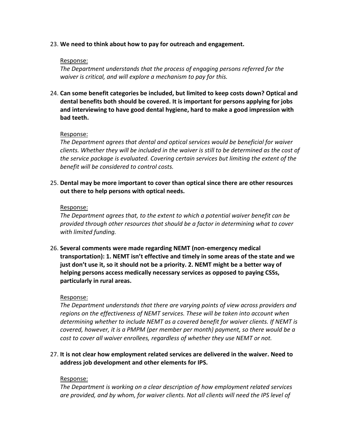## 23. **We need to think about how to pay for outreach and engagement.**

## Response:

*The Department understands that the process of engaging persons referred for the waiver is critical, and will explore a mechanism to pay for this.* 

24. **Can some benefit categories be included, but limited to keep costs down? Optical and dental benefits both should be covered. It is important for persons applying for jobs and interviewing to have good dental hygiene, hard to make a good impression with bad teeth.** 

## Response:

*The Department agrees that dental and optical services would be beneficial for waiver clients. Whether they will be included in the waiver is still to be determined as the cost of the service package is evaluated. Covering certain services but limiting the extent of the benefit will be considered to control costs.* 

25. **Dental may be more important to cover than optical since there are other resources out there to help persons with optical needs.** 

## Response:

*The Department agrees that, to the extent to which a potential waiver benefit can be provided through other resources that should be a factor in determining what to cover with limited funding.* 

26. **Several comments were made regarding NEMT (non-emergency medical transportation): 1. NEMT isn't effective and timely in some areas of the state and we just don't use it, so it should not be a priority. 2. NEMT might be a better way of helping persons access medically necessary services as opposed to paying CSSs, particularly in rural areas.** 

## Response:

*The Department understands that there are varying points of view across providers and regions on the effectiveness of NEMT services. These will be taken into account when determining whether to include NEMT as a covered benefit for waiver clients. If NEMT is covered, however, it is a PMPM (per member per month) payment, so there would be a cost to cover all waiver enrollees, regardless of whether they use NEMT or not.* 

27. **It is not clear how employment related services are delivered in the waiver. Need to address job development and other elements for IPS.** 

## Response:

*The Department is working on a clear description of how employment related services are provided, and by whom, for waiver clients. Not all clients will need the IPS level of*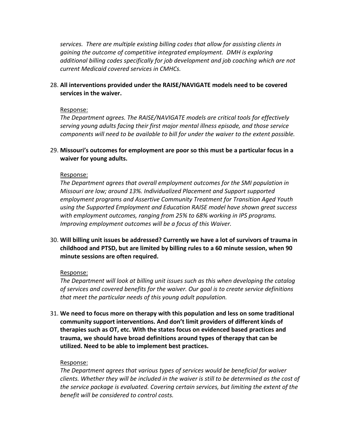*services. There are multiple existing billing codes that allow for assisting clients in gaining the outcome of competitive integrated employment. DMH is exploring additional billing codes specifically for job development and job coaching which are not current Medicaid covered services in CMHCs.* 

## 28. **All interventions provided under the RAISE/NAVIGATE models need to be covered services in the waiver.**

### Response:

*The Department agrees. The RAISE/NAVIGATE models are critical tools for effectively serving young adults facing their first major mental illness episode, and those service components will need to be available to bill for under the waiver to the extent possible.* 

29. **Missouri's outcomes for employment are poor so this must be a particular focus in a waiver for young adults.** 

### Response:

*The Department agrees that overall employment outcomes for the SMI population in Missouri are low; around 13%. Individualized Placement and Support supported employment programs and Assertive Community Treatment for Transition Aged Youth using the Supported Employment and Education RAISE model have shown great success with employment outcomes, ranging from 25% to 68% working in IPS programs. Improving employment outcomes will be a focus of this Waiver.* 

30. **Will billing unit issues be addressed? Currently we have a lot of survivors of trauma in childhood and PTSD, but are limited by billing rules to a 60 minute session, when 90 minute sessions are often required.** 

#### Response:

*The Department will look at billing unit issues such as this when developing the catalog of services and covered benefits for the waiver. Our goal is to create service definitions that meet the particular needs of this young adult population.* 

31. **We need to focus more on therapy with this population and less on some traditional community support interventions. And don't limit providers of different kinds of therapies such as OT, etc. With the states focus on evidenced based practices and trauma, we should have broad definitions around types of therapy that can be utilized. Need to be able to implement best practices.** 

#### Response:

*The Department agrees that various types of services would be beneficial for waiver clients. Whether they will be included in the waiver is still to be determined as the cost of the service package is evaluated. Covering certain services, but limiting the extent of the benefit will be considered to control costs.*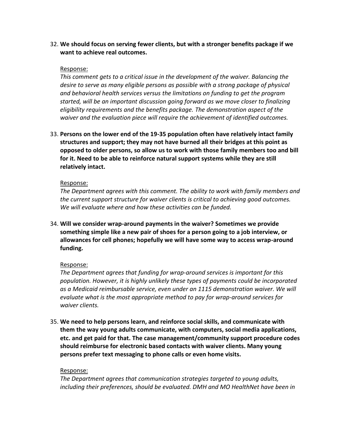32. **We should focus on serving fewer clients, but with a stronger benefits package if we want to achieve real outcomes.** 

## Response:

*This comment gets to a critical issue in the development of the waiver. Balancing the desire to serve as many eligible persons as possible with a strong package of physical and behavioral health services versus the limitations on funding to get the program started, will be an important discussion going forward as we move closer to finalizing eligibility requirements and the benefits package. The demonstration aspect of the waiver and the evaluation piece will require the achievement of identified outcomes.* 

33. **Persons on the lower end of the 19-35 population often have relatively intact family structures and support; they may not have burned all their bridges at this point as opposed to older persons, so allow us to work with those family members too and bill for it. Need to be able to reinforce natural support systems while they are still relatively intact.**

### Response:

*The Department agrees with this comment. The ability to work with family members and the current support structure for waiver clients is critical to achieving good outcomes. We will evaluate where and how these activities can be funded.* 

34. **Will we consider wrap-around payments in the waiver? Sometimes we provide something simple like a new pair of shoes for a person going to a job interview, or allowances for cell phones; hopefully we will have some way to access wrap-around funding.** 

## Response:

*The Department agrees that funding for wrap-around services is important for this population. However, it is highly unlikely these types of payments could be incorporated as a Medicaid reimbursable service, even under an 1115 demonstration waiver. We will evaluate what is the most appropriate method to pay for wrap-around services for waiver clients.* 

35. **We need to help persons learn, and reinforce social skills, and communicate with them the way young adults communicate, with computers, social media applications, etc. and get paid for that. The case management/community support procedure codes should reimburse for electronic based contacts with waiver clients. Many young persons prefer text messaging to phone calls or even home visits.** 

#### Response:

*The Department agrees that communication strategies targeted to young adults, including their preferences, should be evaluated. DMH and MO HealthNet have been in*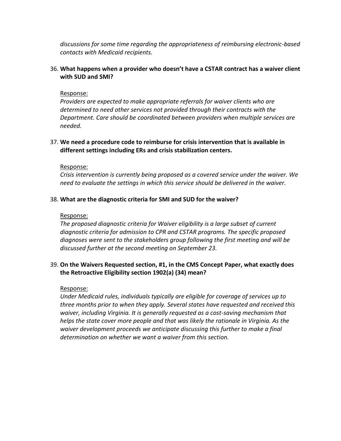*discussions for some time regarding the appropriateness of reimbursing electronic-based contacts with Medicaid recipients.* 

## 36. **What happens when a provider who doesn't have a CSTAR contract has a waiver client with SUD and SMI?**

## Response:

*Providers are expected to make appropriate referrals for waiver clients who are determined to need other services not provided through their contracts with the Department. Care should be coordinated between providers when multiple services are needed.* 

## 37. **We need a procedure code to reimburse for crisis intervention that is available in different settings including ERs and crisis stabilization centers.**

## Response:

*Crisis intervention is currently being proposed as a covered service under the waiver. We need to evaluate the settings in which this service should be delivered in the waiver.* 

## 38. **What are the diagnostic criteria for SMI and SUD for the waiver?**

## Response:

*The proposed diagnostic criteria for Waiver eligibility is a large subset of current diagnostic criteria for admission to CPR and CSTAR programs. The specific proposed diagnoses were sent to the stakeholders group following the first meeting and will be discussed further at the second meeting on September 23.* 

## 39. **On the Waivers Requested section, #1, in the CMS Concept Paper, what exactly does the Retroactive Eligibility section 1902(a) (34) mean?**

## Response:

*Under Medicaid rules, individuals typically are eligible for coverage of services up to three months prior to when they apply. Several states have requested and received this waiver, including Virginia. It is generally requested as a cost-saving mechanism that helps the state cover more people and that was likely the rationale in Virginia. As the waiver development proceeds we anticipate discussing this further to make a final determination on whether we want a waiver from this section.*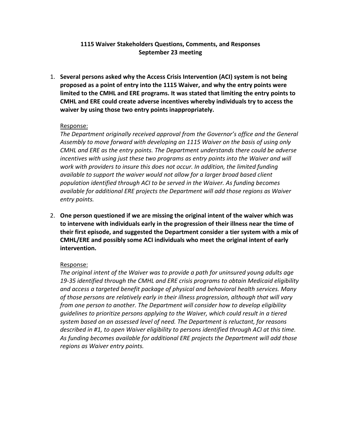## **1115 Waiver Stakeholders Questions, Comments, and Responses September 23 meeting**

1. **Several persons asked why the Access Crisis Intervention (ACI) system is not being proposed as a point of entry into the 1115 Waiver, and why the entry points were limited to the CMHL and ERE programs. It was stated that limiting the entry points to CMHL and ERE could create adverse incentives whereby individuals try to access the waiver by using those two entry points inappropriately.** 

## Response:

*The Department originally received approval from the Governor's office and the General Assembly to move forward with developing an 1115 Waiver on the basis of using only CMHL and ERE as the entry points. The Department understands there could be adverse incentives with using just these two programs as entry points into the Waiver and will work with providers to insure this does not occur. In addition, the limited funding available to support the waiver would not allow for a larger broad based client population identified through ACI to be served in the Waiver. As funding becomes available for additional ERE projects the Department will add those regions as Waiver entry points.* 

2. **One person questioned if we are missing the original intent of the waiver which was to intervene with individuals early in the progression of their illness near the time of their first episode, and suggested the Department consider a tier system with a mix of CMHL/ERE and possibly some ACI individuals who meet the original intent of early intervention.** 

## Response:

*The original intent of the Waiver was to provide a path for uninsured young adults age 19-35 identified through the CMHL and ERE crisis programs to obtain Medicaid eligibility and access a targeted benefit package of physical and behavioral health services. Many of those persons are relatively early in their illness progression, although that will vary from one person to another. The Department will consider how to develop eligibility guidelines to prioritize persons applying to the Waiver, which could result in a tiered system based on an assessed level of need. The Department is reluctant, for reasons described in #1, to open Waiver eligibility to persons identified through ACI at this time. As funding becomes available for additional ERE projects the Department will add those regions as Waiver entry points.*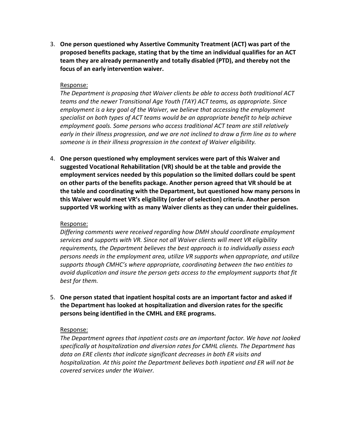3. **One person questioned why Assertive Community Treatment (ACT) was part of the proposed benefits package, stating that by the time an individual qualifies for an ACT team they are already permanently and totally disabled (PTD), and thereby not the focus of an early intervention waiver.** 

#### Response:

*The Department is proposing that Waiver clients be able to access both traditional ACT teams and the newer Transitional Age Youth (TAY) ACT teams, as appropriate. Since employment is a key goal of the Waiver, we believe that accessing the employment specialist on both types of ACT teams would be an appropriate benefit to help achieve employment goals. Some persons who access traditional ACT team are still relatively early in their illness progression, and we are not inclined to draw a firm line as to where someone is in their illness progression in the context of Waiver eligibility.* 

4. **One person questioned why employment services were part of this Waiver and suggested Vocational Rehabilitation (VR) should be at the table and provide the employment services needed by this population so the limited dollars could be spent on other parts of the benefits package. Another person agreed that VR should be at the table and coordinating with the Department, but questioned how many persons in this Waiver would meet VR's eligibility (order of selection) criteria. Another person supported VR working with as many Waiver clients as they can under their guidelines.** 

## Response:

*Differing comments were received regarding how DMH should coordinate employment services and supports with VR. Since not all Waiver clients will meet VR eligibility requirements, the Department believes the best approach is to individually assess each persons needs in the employment area, utilize VR supports when appropriate, and utilize supports though CMHC's where appropriate, coordinating between the two entities to avoid duplication and insure the person gets access to the employment supports that fit best for them.* 

5. **One person stated that inpatient hospital costs are an important factor and asked if the Department has looked at hospitalization and diversion rates for the specific persons being identified in the CMHL and ERE programs.** 

#### Response:

*The Department agrees that inpatient costs are an important factor. We have not looked specifically at hospitalization and diversion rates for CMHL clients. The Department has data on ERE clients that indicate significant decreases in both ER visits and hospitalization. At this point the Department believes both inpatient and ER will not be covered services under the Waiver.*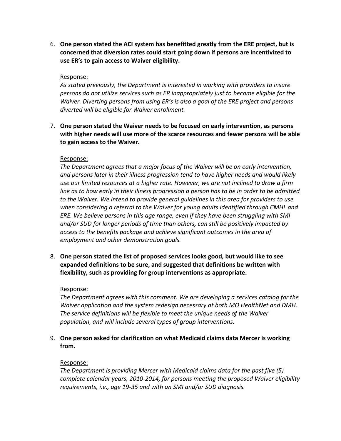6. **One person stated the ACI system has benefitted greatly from the ERE project, but is concerned that diversion rates could start going down if persons are incentivized to use ER's to gain access to Waiver eligibility.** 

## Response:

*As stated previously, the Department is interested in working with providers to insure persons do not utilize services such as ER inappropriately just to become eligible for the Waiver. Diverting persons from using ER's is also a goal of the ERE project and persons diverted will be eligible for Waiver enrollment.* 

7. **One person stated the Waiver needs to be focused on early intervention, as persons with higher needs will use more of the scarce resources and fewer persons will be able to gain access to the Waiver.** 

#### Response:

*The Department agrees that a major focus of the Waiver will be on early intervention, and persons later in their illness progression tend to have higher needs and would likely use our limited resources at a higher rate. However, we are not inclined to draw a firm line as to how early in their illness progression a person has to be in order to be admitted to the Waiver. We intend to provide general guidelines in this area for providers to use when considering a referral to the Waiver for young adults identified through CMHL and ERE. We believe persons in this age range, even if they have been struggling with SMI and/or SUD for longer periods of time than others, can still be positively impacted by access to the benefits package and achieve significant outcomes in the area of employment and other demonstration goals.* 

8. **One person stated the list of proposed services looks good, but would like to see expanded definitions to be sure, and suggested that definitions be written with flexibility, such as providing for group interventions as appropriate.** 

## Response:

*The Department agrees with this comment. We are developing a services catalog for the Waiver application and the system redesign necessary at both MO HealthNet and DMH. The service definitions will be flexible to meet the unique needs of the Waiver population, and will include several types of group interventions.* 

9. **One person asked for clarification on what Medicaid claims data Mercer is working from.** 

## Response:

*The Department is providing Mercer with Medicaid claims data for the past five (5) complete calendar years, 2010-2014, for persons meeting the proposed Waiver eligibility requirements, i.e., age 19-35 and with an SMI and/or SUD diagnosis.*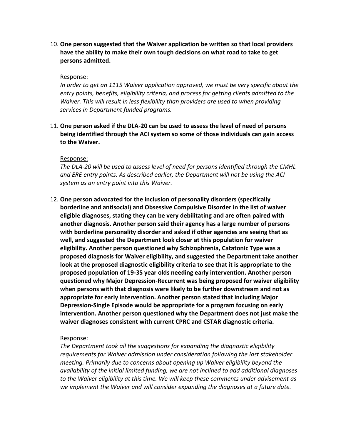10. **One person suggested that the Waiver application be written so that local providers have the ability to make their own tough decisions on what road to take to get persons admitted.** 

#### Response:

*In order to get an 1115 Waiver application approved, we must be very specific about the entry points, benefits, eligibility criteria, and process for getting clients admitted to the Waiver. This will result in less flexibility than providers are used to when providing services in Department funded programs.* 

11. **One person asked if the DLA-20 can be used to assess the level of need of persons being identified through the ACI system so some of those individuals can gain access to the Waiver.**

#### Response:

*The DLA-20 will be used to assess level of need for persons identified through the CMHL and ERE entry points. As described earlier, the Department will not be using the ACI system as an entry point into this Waiver.* 

12. **One person advocated for the inclusion of personality disorders (specifically borderline and antisocial) and Obsessive Compulsive Disorder in the list of waiver eligible diagnoses, stating they can be very debilitating and are often paired with another diagnosis. Another person said their agency has a large number of persons with borderline personality disorder and asked if other agencies are seeing that as well, and suggested the Department look closer at this population for waiver eligibility. Another person questioned why Schizophrenia, Catatonic Type was a proposed diagnosis for Waiver eligibility, and suggested the Department take another look at the proposed diagnostic eligibility criteria to see that it is appropriate to the proposed population of 19-35 year olds needing early intervention. Another person questioned why Major Depression-Recurrent was being proposed for waiver eligibility when persons with that diagnosis were likely to be further downstream and not as appropriate for early intervention. Another person stated that including Major Depression-Single Episode would be appropriate for a program focusing on early intervention. Another person questioned why the Department does not just make the waiver diagnoses consistent with current CPRC and CSTAR diagnostic criteria.** 

#### Response:

*The Department took all the suggestions for expanding the diagnostic eligibility requirements for Waiver admission under consideration following the last stakeholder meeting. Primarily due to concerns about opening up Waiver eligibility beyond the availability of the initial limited funding, we are not inclined to add additional diagnoses to the Waiver eligibility at this time. We will keep these comments under advisement as we implement the Waiver and will consider expanding the diagnoses at a future date.*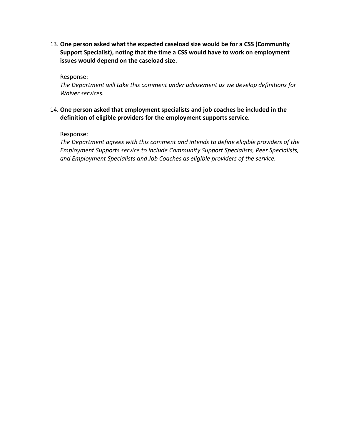13. **One person asked what the expected caseload size would be for a CSS (Community Support Specialist), noting that the time a CSS would have to work on employment issues would depend on the caseload size.** 

Response:

*The Department will take this comment under advisement as we develop definitions for Waiver services.* 

## 14. **One person asked that employment specialists and job coaches be included in the definition of eligible providers for the employment supports service.**

Response:

*The Department agrees with this comment and intends to define eligible providers of the Employment Supports service to include Community Support Specialists, Peer Specialists, and Employment Specialists and Job Coaches as eligible providers of the service.*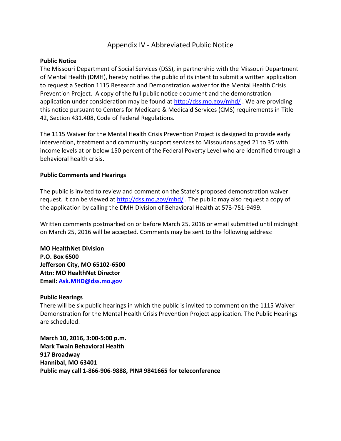## Appendix IV - Abbreviated Public Notice

### **Public Notice**

The Missouri Department of Social Services (DSS), in partnership with the Missouri Department of Mental Health (DMH), hereby notifies the public of its intent to submit a written application to request a Section 1115 Research and Demonstration waiver for the Mental Health Crisis Prevention Project. A copy of the full public notice document and the demonstration application under consideration may be found at<http://dss.mo.gov/mhd/>. We are providing this notice pursuant to Centers for Medicare & Medicaid Services (CMS) requirements in Title 42, Section 431.408, Code of Federal Regulations.

The 1115 Waiver for the Mental Health Crisis Prevention Project is designed to provide early intervention, treatment and community support services to Missourians aged 21 to 35 with income levels at or below 150 percent of the Federal Poverty Level who are identified through a behavioral health crisis.

### **Public Comments and Hearings**

The public is invited to review and comment on the State's proposed demonstration waiver request. It can be viewed at<http://dss.mo.gov/mhd/>. The public may also request a copy of the application by calling the DMH Division of Behavioral Health at 573-751-9499.

Written comments postmarked on or before March 25, 2016 or email submitted until midnight on March 25, 2016 will be accepted. Comments may be sent to the following address:

**MO HealthNet Division P.O. Box 6500 Jefferson City, MO 65102-6500 Attn: MO HealthNet Director Email: [Ask.MHD@dss.mo.gov](mailto:Ask.MHD@dss.mo.gov)** 

#### **Public Hearings**

There will be six public hearings in which the public is invited to comment on the 1115 Waiver Demonstration for the Mental Health Crisis Prevention Project application. The Public Hearings are scheduled:

**March 10, 2016, 3:00-5:00 p.m. Mark Twain Behavioral Health 917 Broadway Hannibal, MO 63401 Public may call 1-866-906-9888, PIN# 9841665 for teleconference**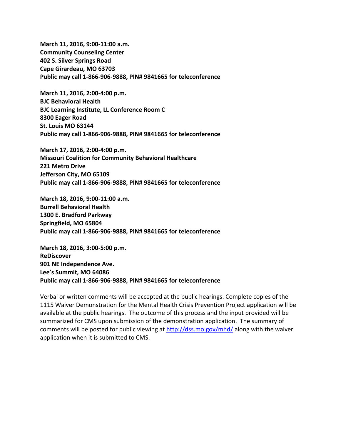**March 11, 2016, 9:00-11:00 a.m. Community Counseling Center 402 S. Silver Springs Road Cape Girardeau, MO 63703 Public may call 1-866-906-9888, PIN# 9841665 for teleconference** 

**March 11, 2016, 2:00-4:00 p.m. BJC Behavioral Health BJC Learning Institute, LL Conference Room C 8300 Eager Road St. Louis MO 63144 Public may call 1-866-906-9888, PIN# 9841665 for teleconference** 

**March 17, 2016, 2:00-4:00 p.m. Missouri Coalition for Community Behavioral Healthcare 221 Metro Drive Jefferson City, MO 65109 Public may call 1-866-906-9888, PIN# 9841665 for teleconference** 

**March 18, 2016, 9:00-11:00 a.m. Burrell Behavioral Health 1300 E. Bradford Parkway Springfield, MO 65804 Public may call 1-866-906-9888, PIN# 9841665 for teleconference** 

**March 18, 2016, 3:00-5:00 p.m. ReDiscover 901 NE Independence Ave. Lee's Summit, MO 64086 Public may call 1-866-906-9888, PIN# 9841665 for teleconference** 

Verbal or written comments will be accepted at the public hearings. Complete copies of the 1115 Waiver Demonstration for the Mental Health Crisis Prevention Project application will be available at the public hearings. The outcome of this process and the input provided will be summarized for CMS upon submission of the demonstration application. The summary of comments will be posted for public viewing at<http://dss.mo.gov/mhd/>along with the waiver application when it is submitted to CMS.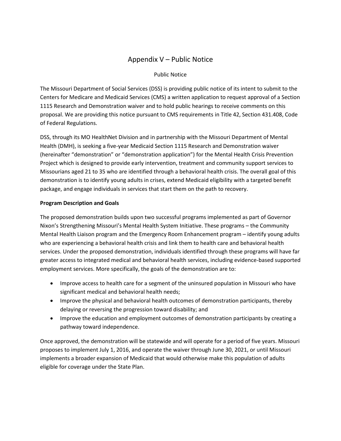## Appendix V – Public Notice

## Public Notice

The Missouri Department of Social Services (DSS) is providing public notice of its intent to submit to the Centers for Medicare and Medicaid Services (CMS) a written application to request approval of a Section 1115 Research and Demonstration waiver and to hold public hearings to receive comments on this proposal. We are providing this notice pursuant to CMS requirements in Title 42, Section 431.408, Code of Federal Regulations.

DSS, through its MO HealthNet Division and in partnership with the Missouri Department of Mental Health (DMH), is seeking a five-year Medicaid Section 1115 Research and Demonstration waiver (hereinafter "demonstration" or "demonstration application") for the Mental Health Crisis Prevention Project which is designed to provide early intervention, treatment and community support services to Missourians aged 21 to 35 who are identified through a behavioral health crisis. The overall goal of this demonstration is to identify young adults in crises, extend Medicaid eligibility with a targeted benefit package, and engage individuals in services that start them on the path to recovery.

## **Program Description and Goals**

The proposed demonstration builds upon two successful programs implemented as part of Governor Nixon's Strengthening Missouri's Mental Health System Initiative. These programs – the Community Mental Health Liaison program and the Emergency Room Enhancement program – identify young adults who are experiencing a behavioral health crisis and link them to health care and behavioral health services. Under the proposed demonstration, individuals identified through these programs will have far greater access to integrated medical and behavioral health services, including evidence-based supported employment services. More specifically, the goals of the demonstration are to:

- Improve access to health care for a segment of the uninsured population in Missouri who have significant medical and behavioral health needs;
- Improve the physical and behavioral health outcomes of demonstration participants, thereby delaying or reversing the progression toward disability; and
- Improve the education and employment outcomes of demonstration participants by creating a pathway toward independence.

Once approved, the demonstration will be statewide and will operate for a period of five years. Missouri proposes to implement July 1, 2016, and operate the waiver through June 30, 2021, or until Missouri implements a broader expansion of Medicaid that would otherwise make this population of adults eligible for coverage under the State Plan.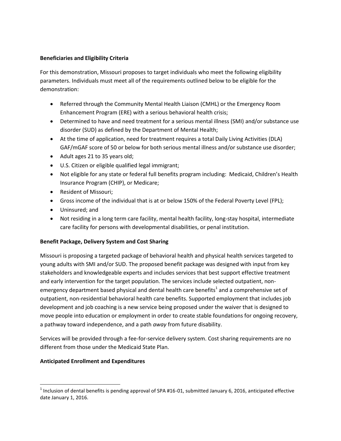### **Beneficiaries and Eligibility Criteria**

For this demonstration, Missouri proposes to target individuals who meet the following eligibility parameters. Individuals must meet all of the requirements outlined below to be eligible for the demonstration:

- Referred through the Community Mental Health Liaison (CMHL) or the Emergency Room Enhancement Program (ERE) with a serious behavioral health crisis;
- Determined to have and need treatment for a serious mental illness (SMI) and/or substance use disorder (SUD) as defined by the Department of Mental Health;
- At the time of application, need for treatment requires a total Daily Living Activities (DLA) GAF/mGAF score of 50 or below for both serious mental illness and/or substance use disorder;
- Adult ages 21 to 35 years old;
- U.S. Citizen or eligible qualified legal immigrant;
- Not eligible for any state or federal full benefits program including: Medicaid, Children's Health Insurance Program (CHIP), or Medicare;
- Resident of Missouri;
- Gross income of the individual that is at or below 150% of the Federal Poverty Level (FPL);
- Uninsured; and
- Not residing in a long term care facility, mental health facility, long-stay hospital, intermediate care facility for persons with developmental disabilities, or penal institution.

## **Benefit Package, Delivery System and Cost Sharing**

Missouri is proposing a targeted package of behavioral health and physical health services targeted to young adults with SMI and/or SUD. The proposed benefit package was designed with input from key stakeholders and knowledgeable experts and includes services that best support effective treatment and early intervention for the target population. The services include selected outpatient, nonemergency department based physical and dental health care benefits<sup>1</sup> and a comprehensive set of outpatient, non-residential behavioral health care benefits. Supported employment that includes job development and job coaching is a new service being proposed under the waiver that is designed to move people into education or employment in order to create stable foundations for ongoing recovery, a pathway toward independence, and a path *away* from future disability.

Services will be provided through a fee-for-service delivery system. Cost sharing requirements are no different from those under the Medicaid State Plan.

## **Anticipated Enrollment and Expenditures**

l

<sup>&</sup>lt;sup>1</sup> Inclusion of dental benefits is pending approval of SPA #16-01, submitted January 6, 2016, anticipated effective date January 1, 2016.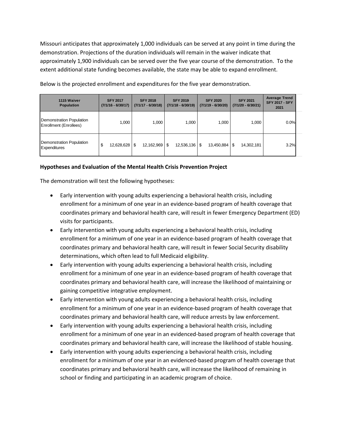Missouri anticipates that approximately 1,000 individuals can be served at any point in time during the demonstration. Projections of the duration individuals will remain in the waiver indicate that approximately 1,900 individuals can be served over the five year course of the demonstration. To the extent additional state funding becomes available, the state may be able to expand enrollment.

| 1115 Waiver<br><b>Population</b>                          | <b>SFY 2017</b><br>$(7/1/16 - 6/30/17)$ | <b>SFY 2018</b><br>$(7/1/17 - 6/30/18)$ | <b>SFY 2019</b><br>$(7/1/18 - 6/30/19)$ | <b>SFY 2020</b><br>$(7/1/19 - 6/30/20)$ | <b>SFY 2021</b><br>$(7/1/20 - 6/30/21)$ | <b>Average Trend</b><br><b>SFY 2017 - SFY</b><br>2021 |  |
|-----------------------------------------------------------|-----------------------------------------|-----------------------------------------|-----------------------------------------|-----------------------------------------|-----------------------------------------|-------------------------------------------------------|--|
| <b>Demonstration Population</b><br>Enrollment (Enrollees) | 1.000                                   | 1,000                                   | 1,000                                   | 1,000                                   | 1,000                                   | 0.0%                                                  |  |
| <b>Demonstration Population</b><br><b>Expenditures</b>    | \$<br>12,628,628                        | 12,162,969<br>\$                        | $12,536,136$   \$<br>l \$               | 13,450,884                              | \$<br>14,302,181                        | 3.2%                                                  |  |

Below is the projected enrollment and expenditures for the five year demonstration.

### **Hypotheses and Evaluation of the Mental Health Crisis Prevention Project**

The demonstration will test the following hypotheses:

- Early intervention with young adults experiencing a behavioral health crisis, including enrollment for a minimum of one year in an evidence-based program of health coverage that coordinates primary and behavioral health care, will result in fewer Emergency Department (ED) visits for participants.
- Early intervention with young adults experiencing a behavioral health crisis, including enrollment for a minimum of one year in an evidence-based program of health coverage that coordinates primary and behavioral health care, will result in fewer Social Security disability determinations, which often lead to full Medicaid eligibility.
- Early intervention with young adults experiencing a behavioral health crisis, including enrollment for a minimum of one year in an evidence-based program of health coverage that coordinates primary and behavioral health care, will increase the likelihood of maintaining or gaining competitive integrative employment.
- Early intervention with young adults experiencing a behavioral health crisis, including enrollment for a minimum of one year in an evidence-based program of health coverage that coordinates primary and behavioral health care, will reduce arrests by law enforcement.
- Early intervention with young adults experiencing a behavioral health crisis, including enrollment for a minimum of one year in an evidenced-based program of health coverage that coordinates primary and behavioral health care, will increase the likelihood of stable housing.
- Early intervention with young adults experiencing a behavioral health crisis, including enrollment for a minimum of one year in an evidenced-based program of health coverage that coordinates primary and behavioral health care, will increase the likelihood of remaining in school or finding and participating in an academic program of choice.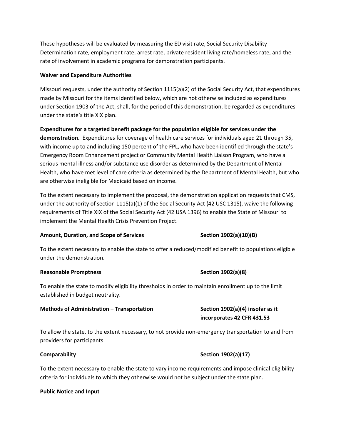These hypotheses will be evaluated by measuring the ED visit rate, Social Security Disability Determination rate, employment rate, arrest rate, private resident living rate/homeless rate, and the rate of involvement in academic programs for demonstration participants.

#### **Waiver and Expenditure Authorities**

Missouri requests, under the authority of Section 1115(a)(2) of the Social Security Act, that expenditures made by Missouri for the items identified below, which are not otherwise included as expenditures under Section 1903 of the Act, shall, for the period of this demonstration, be regarded as expenditures under the state's title XIX plan.

**Expenditures for a targeted benefit package for the population eligible for services under the demonstration.** Expenditures for coverage of health care services for individuals aged 21 through 35, with income up to and including 150 percent of the FPL, who have been identified through the state's Emergency Room Enhancement project or Community Mental Health Liaison Program, who have a serious mental illness and/or substance use disorder as determined by the Department of Mental Health, who have met level of care criteria as determined by the Department of Mental Health, but who are otherwise ineligible for Medicaid based on income.

To the extent necessary to implement the proposal, the demonstration application requests that CMS, under the authority of section 1115(a)(1) of the Social Security Act (42 USC 1315), waive the following requirements of Title XIX of the Social Security Act (42 USA 1396) to enable the State of Missouri to implement the Mental Health Crisis Prevention Project.

#### Amount, Duration, and Scope of Services **Section 1902(a)(10)(B)** Section 1902(a)(10)(B)

To the extent necessary to enable the state to offer a reduced/modified benefit to populations eligible under the demonstration.

#### Reasonable Promptness **Section 1902(a)**(8)

To enable the state to modify eligibility thresholds in order to maintain enrollment up to the limit established in budget neutrality.

#### **Methods of Administration – Transportation Section 1902(a)(4) insofar as it**

To allow the state, to the extent necessary, to not provide non-emergency transportation to and from providers for participants.

To the extent necessary to enable the state to vary income requirements and impose clinical eligibility criteria for individuals to which they otherwise would not be subject under the state plan.

#### **Public Notice and Input**

#### **Comparability Comparability Section 1902(a)(17)**

**incorporates 42 CFR 431.53**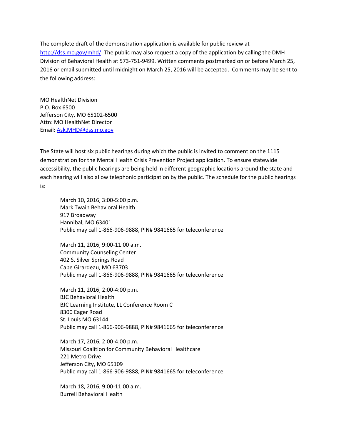The complete draft of the demonstration application is available for public review at [http://dss.mo.gov/mhd/.](http://dss.mo.gov/mhd/) The public may also request a copy of the application by calling the DMH Division of Behavioral Health at 573-751-9499. Written comments postmarked on or before March 25, 2016 or email submitted until midnight on March 25, 2016 will be accepted. Comments may be sent to the following address:

MO HealthNet Division P.O. Box 6500 Jefferson City, MO 65102-6500 Attn: MO HealthNet Director Email: [Ask.MHD@dss.mo.gov](mailto:Ask.MHD@dss.mo.gov) 

The State will host six public hearings during which the public is invited to comment on the 1115 demonstration for the Mental Health Crisis Prevention Project application. To ensure statewide accessibility, the public hearings are being held in different geographic locations around the state and each hearing will also allow telephonic participation by the public. The schedule for the public hearings is:

March 10, 2016, 3:00-5:00 p.m. Mark Twain Behavioral Health 917 Broadway Hannibal, MO 63401 Public may call 1-866-906-9888, PIN# 9841665 for teleconference

March 11, 2016, 9:00-11:00 a.m. Community Counseling Center 402 S. Silver Springs Road Cape Girardeau, MO 63703 Public may call 1-866-906-9888, PIN# 9841665 for teleconference

March 11, 2016, 2:00-4:00 p.m. BJC Behavioral Health BJC Learning Institute, LL Conference Room C 8300 Eager Road St. Louis MO 63144 Public may call 1-866-906-9888, PIN# 9841665 for teleconference

March 17, 2016, 2:00-4:00 p.m. Missouri Coalition for Community Behavioral Healthcare 221 Metro Drive Jefferson City, MO 65109 Public may call 1-866-906-9888, PIN# 9841665 for teleconference

March 18, 2016, 9:00-11:00 a.m. Burrell Behavioral Health